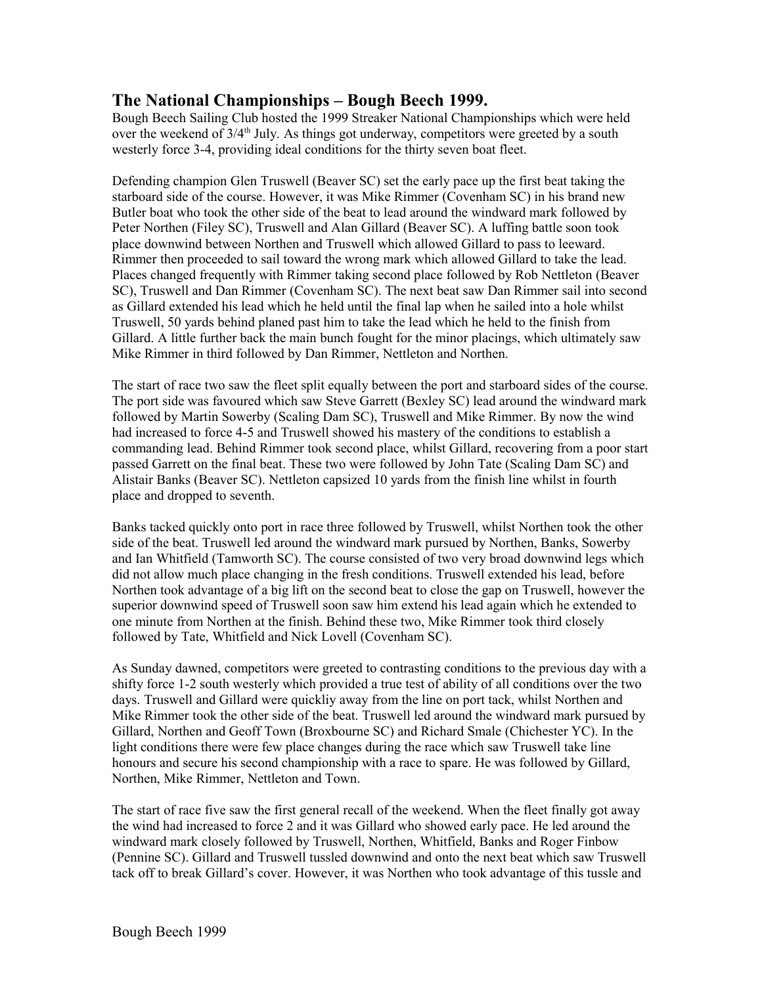## **The National Championships – Bough Beech 1999.**

Bough Beech Sailing Club hosted the 1999 Streaker National Championships which were held over the weekend of  $3/4<sup>th</sup>$  July. As things got underway, competitors were greeted by a south westerly force 3-4, providing ideal conditions for the thirty seven boat fleet.

Defending champion Glen Truswell (Beaver SC) set the early pace up the first beat taking the starboard side of the course. However, it was Mike Rimmer (Covenham SC) in his brand new Butler boat who took the other side of the beat to lead around the windward mark followed by Peter Northen (Filey SC), Truswell and Alan Gillard (Beaver SC). A luffing battle soon took place downwind between Northen and Truswell which allowed Gillard to pass to leeward. Rimmer then proceeded to sail toward the wrong mark which allowed Gillard to take the lead. Places changed frequently with Rimmer taking second place followed by Rob Nettleton (Beaver SC), Truswell and Dan Rimmer (Covenham SC). The next beat saw Dan Rimmer sail into second as Gillard extended his lead which he held until the final lap when he sailed into a hole whilst Truswell, 50 yards behind planed past him to take the lead which he held to the finish from Gillard. A little further back the main bunch fought for the minor placings, which ultimately saw Mike Rimmer in third followed by Dan Rimmer, Nettleton and Northen.

The start of race two saw the fleet split equally between the port and starboard sides of the course. The port side was favoured which saw Steve Garrett (Bexley SC) lead around the windward mark followed by Martin Sowerby (Scaling Dam SC), Truswell and Mike Rimmer. By now the wind had increased to force 4-5 and Truswell showed his mastery of the conditions to establish a commanding lead. Behind Rimmer took second place, whilst Gillard, recovering from a poor start passed Garrett on the final beat. These two were followed by John Tate (Scaling Dam SC) and Alistair Banks (Beaver SC). Nettleton capsized 10 yards from the finish line whilst in fourth place and dropped to seventh.

Banks tacked quickly onto port in race three followed by Truswell, whilst Northen took the other side of the beat. Truswell led around the windward mark pursued by Northen, Banks, Sowerby and Ian Whitfield (Tamworth SC). The course consisted of two very broad downwind legs which did not allow much place changing in the fresh conditions. Truswell extended his lead, before Northen took advantage of a big lift on the second beat to close the gap on Truswell, however the superior downwind speed of Truswell soon saw him extend his lead again which he extended to one minute from Northen at the finish. Behind these two, Mike Rimmer took third closely followed by Tate, Whitfield and Nick Lovell (Covenham SC).

As Sunday dawned, competitors were greeted to contrasting conditions to the previous day with a shifty force 1-2 south westerly which provided a true test of ability of all conditions over the two days. Truswell and Gillard were quickliy away from the line on port tack, whilst Northen and Mike Rimmer took the other side of the beat. Truswell led around the windward mark pursued by Gillard, Northen and Geoff Town (Broxbourne SC) and Richard Smale (Chichester YC). In the light conditions there were few place changes during the race which saw Truswell take line honours and secure his second championship with a race to spare. He was followed by Gillard, Northen, Mike Rimmer, Nettleton and Town.

The start of race five saw the first general recall of the weekend. When the fleet finally got away the wind had increased to force 2 and it was Gillard who showed early pace. He led around the windward mark closely followed by Truswell, Northen, Whitfield, Banks and Roger Finbow (Pennine SC). Gillard and Truswell tussled downwind and onto the next beat which saw Truswell tack off to break Gillard's cover. However, it was Northen who took advantage of this tussle and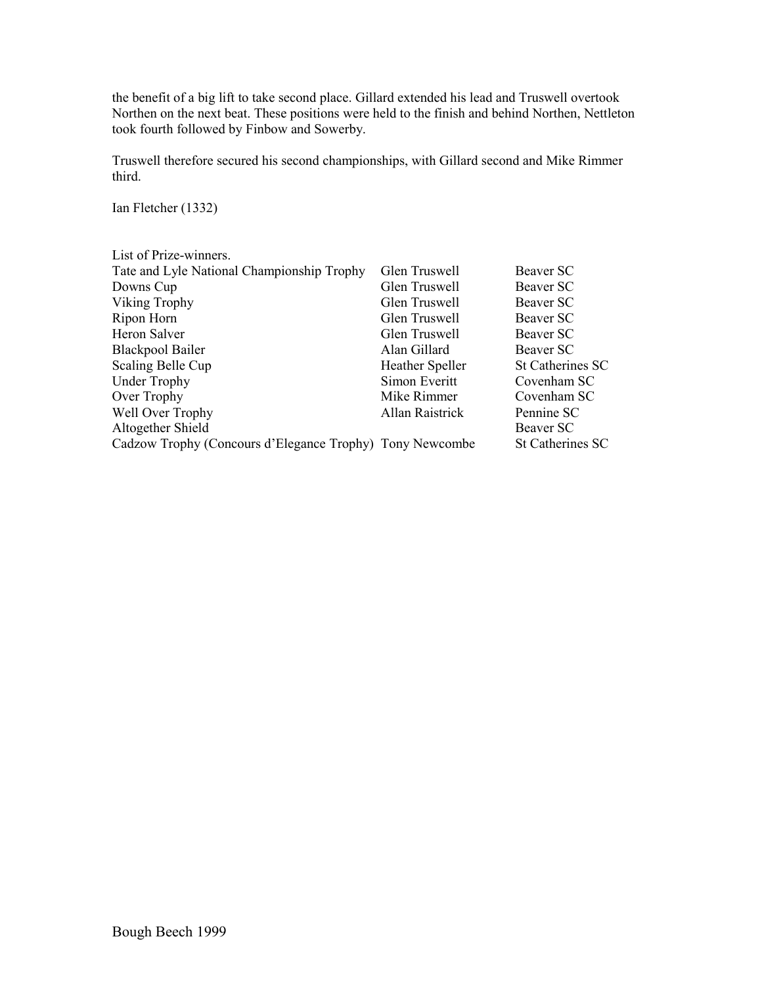the benefit of a big lift to take second place. Gillard extended his lead and Truswell overtook Northen on the next beat. These positions were held to the finish and behind Northen, Nettleton took fourth followed by Finbow and Sowerby.

Truswell therefore secured his second championships, with Gillard second and Mike Rimmer third.

Ian Fletcher (1332)

| List of Prize-winners.                                   |                 |                         |
|----------------------------------------------------------|-----------------|-------------------------|
| Tate and Lyle National Championship Trophy               | Glen Truswell   | Beaver SC               |
| Downs Cup                                                | Glen Truswell   | Beaver SC               |
| Viking Trophy                                            | Glen Truswell   | Beaver SC               |
| Ripon Horn                                               | Glen Truswell   | Beaver SC               |
| <b>Heron Salver</b>                                      | Glen Truswell   | Beaver SC               |
| <b>Blackpool Bailer</b>                                  | Alan Gillard    | Beaver SC               |
| Scaling Belle Cup                                        | Heather Speller | <b>St Catherines SC</b> |
| <b>Under Trophy</b>                                      | Simon Everitt   | Covenham SC             |
| Over Trophy                                              | Mike Rimmer     | Covenham SC             |
| Well Over Trophy                                         | Allan Raistrick | Pennine SC              |
| Altogether Shield                                        |                 | Beaver SC               |
| Cadzow Trophy (Concours d'Elegance Trophy) Tony Newcombe |                 | <b>St Catherines SC</b> |